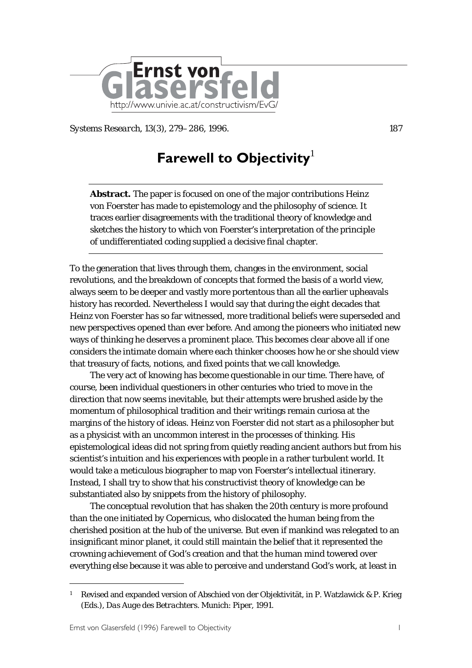

*Systems Research, 13*(3), 279–286, 1996. 187

# **Farewell to Objectivity**<sup>1</sup>

**Abstract.** The paper is focused on one of the major contributions Heinz von Foerster has made to epistemology and the philosophy of science. It traces earlier disagreements with the traditional theory of knowledge and sketches the history to which von Foerster's interpretation of the principle of undifferentiated coding supplied a decisive final chapter.

To the generation that lives through them, changes in the environment, social revolutions, and the breakdown of concepts that formed the basis of a world view, always seem to be deeper and vastly more portentous than all the earlier upheavals history has recorded. Nevertheless I would say that during the eight decades that Heinz von Foerster has so far witnessed, more traditional beliefs were superseded and new perspectives opened than ever before. And among the pioneers who initiated new ways of thinking he deserves a prominent place. This becomes clear above all if one considers the intimate domain where each thinker chooses how he or she should view that treasury of facts, notions, and fixed points that we call knowledge.

The very act of knowing has become questionable in our time. There have, of course, been individual questioners in other centuries who tried to move in the direction that now seems inevitable, but their attempts were brushed aside by the momentum of philosophical tradition and their writings remain curiosa at the margins of the history of ideas. Heinz von Foerster did not start as a philosopher but as a physicist with an uncommon interest in the processes of thinking. His epistemological ideas did not spring from quietly reading ancient authors but from his scientist's intuition and his experiences with people in a rather turbulent world. It would take a meticulous biographer to map von Foerster's intellectual itinerary. Instead, I shall try to show that his constructivist theory of knowledge can be substantiated also by snippets from the history of philosophy.

The conceptual revolution that has shaken the 20th century is more profound than the one initiated by Copernicus, who dislocated the human being from the cherished position at the hub of the universe. But even if mankind was relegated to an insignificant minor planet, it could still maintain the belief that it represented the crowning achievement of God's creation and that the human mind towered over everything else because it was able to perceive and understand God's work, at least in

 $\overline{a}$ 

<sup>1</sup> Revised and expanded version of Abschied von der Objektivität, in P. Watzlawick & P. Krieg (Eds.), *Das Auge des Betrachters.* Munich: Piper, 1991.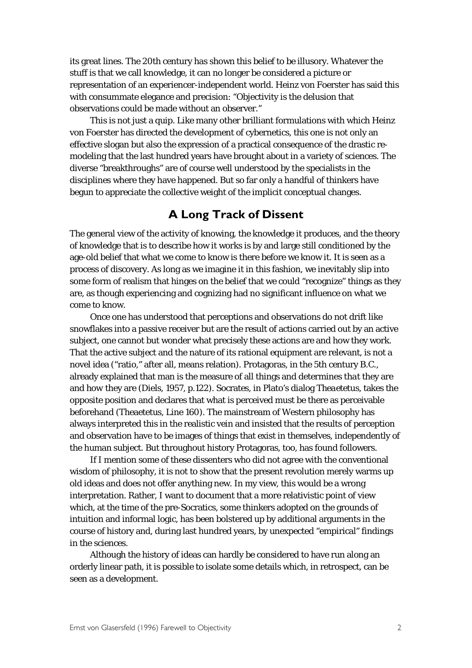its great lines. The 20th century has shown this belief to be illusory. Whatever the stuff is that we call knowledge, it can no longer be considered a picture or representation of an experiencer-independent world. Heinz von Foerster has said this with consummate elegance and precision: "Objectivity is the delusion that observations could be made without an observer."

This is not just a quip. Like many other brilliant formulations with which Heinz von Foerster has directed the development of cybernetics, this one is not only an effective slogan but also the expression of a practical consequence of the drastic remodeling that the last hundred years have brought about in a variety of sciences. The diverse "breakthroughs" are of course well understood by the specialists in the disciplines where they have happened. But so far only a handful of thinkers have begun to appreciate the collective weight of the implicit conceptual changes.

## **A Long Track of Dissent**

The general view of the activity of knowing, the knowledge it produces, and the theory of knowledge that is to describe how it works is by and large still conditioned by the age-old belief that what we come to know is there before we know it. It is seen as a process of discovery. As long as we imagine it in this fashion, we inevitably slip into some form of realism that hinges on the belief that we could "recognize" things as they are, as though experiencing and cognizing had no significant influence on what we come to know.

Once one has understood that perceptions and observations do not drift like snowflakes into a passive receiver but are the result of actions carried out by an active subject, one cannot but wonder what precisely these actions are and how they work. That the active subject and the nature of its rational equipment are relevant, is not a novel idea ("ratio," after all, means relation). Protagoras, in the 5th century B.C., already explained that man is the measure of all things and determines *that* they are and *how* they are (Diels, 1957, p.122). Socrates, in Plato's dialog *Theaetetus*, takes the opposite position and declares that what is perceived must be there as perceivable beforehand (Theaetetus, Line 160). The mainstream of Western philosophy has always interpreted this in the realistic vein and insisted that the results of perception and observation have to be images of things that exist in themselves, independently of the human subject. But throughout history Protagoras, too, has found followers.

If I mention some of these dissenters who did not agree with the conventional wisdom of philosophy, it is not to show that the present revolution merely warms up old ideas and does not offer anything new. In my view, this would be a wrong interpretation. Rather, I want to document that a more relativistic point of view which, at the time of the pre-Socratics, some thinkers adopted on the grounds of intuition and informal logic, has been bolstered up by additional arguments in the course of history and, during last hundred years, by unexpected "empirical" findings in the sciences.

Although the history of ideas can hardly be considered to have run along an orderly linear path, it is possible to isolate some details which, in retrospect, can be seen as a development.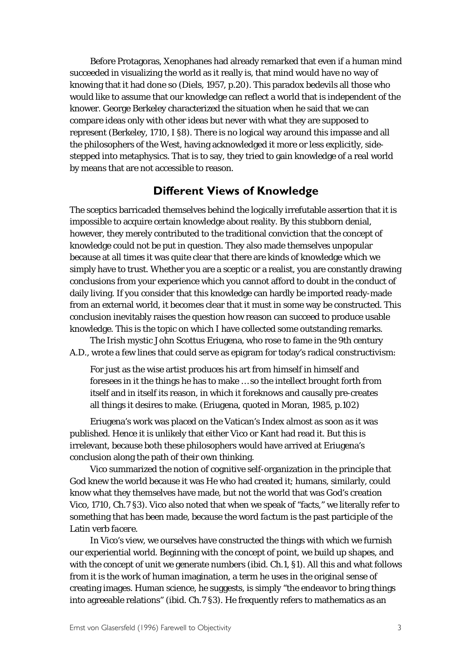Before Protagoras, Xenophanes had already remarked that even if a human mind succeeded in visualizing the world as it really is, that mind would have no way of knowing that it had done so (Diels, 1957, p.20). This paradox bedevils all those who would like to assume that our knowledge can reflect a world that is independent of the knower. George Berkeley characterized the situation when he said that we can compare ideas only with other ideas but never with what they are supposed to represent (Berkeley, 1710, I §8). There is no logical way around this impasse and all the philosophers of the West, having acknowledged it more or less explicitly, sidestepped into metaphysics. That is to say, they tried to gain knowledge of a real world by means that are not accessible to reason.

### **Different Views of Knowledge**

The sceptics barricaded themselves behind the logically irrefutable assertion that it is impossible to acquire certain knowledge about reality. By this stubborn denial, however, they merely contributed to the traditional conviction that the concept of knowledge could not be put in question. They also made themselves unpopular because at all times it was quite clear that there are kinds of knowledge which we simply have to trust. Whether you are a sceptic or a realist, you are constantly drawing conclusions from your experience which you cannot afford to doubt in the conduct of daily living. If you consider that this knowledge can hardly be imported ready-made from an external world, it becomes clear that it must in some way be constructed. This conclusion inevitably raises the question how reason can succeed to produce usable knowledge. This is the topic on which I have collected some outstanding remarks.

The Irish mystic John Scottus Eriugena, who rose to fame in the 9th century A.D., wrote a few lines that could serve as epigram for today's radical constructivism:

For just as the wise artist produces his art from himself in himself and foresees in it the things he has to make … so the intellect brought forth from itself and in itself its reason, in which it foreknows and causally pre-creates all things it desires to make. (Eriugena, quoted in Moran, 1985, p.102)

Eriugena's work was placed on the Vatican's Index almost as soon as it was published. Hence it is unlikely that either Vico or Kant had read it. But this is irrelevant, because both these philosophers would have arrived at Eriugena's conclusion along the path of their own thinking.

Vico summarized the notion of cognitive self-organization in the principle that God knew the world because it was He who had created it; humans, similarly, could know what they themselves have made, but not the world that was God's creation Vico, 1710, Ch.7 §3). Vico also noted that when we speak of "facts," we literally refer to something that has been made, because the word *factum* is the past participle of the Latin verb *facere.*

In Vico's view, we ourselves have constructed the things with which we furnish our experiential world. Beginning with the concept of point, we build up shapes, and with the concept of unit we generate numbers (*ibid.* Ch.1, §1). All this and what follows from it is the work of human imagination, a term he uses in the original sense of creating images. Human science, he suggests, is simply "the endeavor to bring things into agreeable relations" (*ibid.* Ch.7 §3). He frequently refers to mathematics as an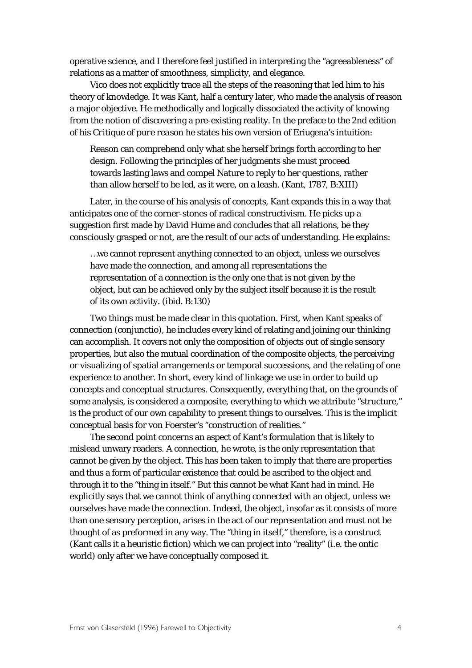operative science, and I therefore feel justified in interpreting the "agreeableness" of relations as a matter of smoothness, simplicity, and elegance.

Vico does not explicitly trace all the steps of the reasoning that led him to his theory of knowledge. It was Kant, half a century later, who made the analysis of reason a major objective. He methodically and logically dissociated the activity of knowing from the notion of discovering a pre-existing reality. In the preface to the 2nd edition of his *Critique of pure reason* he states his own version of Eriugena's intuition:

Reason can comprehend only what she herself brings forth according to her design. Following the principles of her judgments she must proceed towards lasting laws and compel Nature to reply to her questions, rather than allow herself to be led, as it were, on a leash. (Kant, 1787, B:XIII)

Later, in the course of his analysis of concepts, Kant expands this in a way that anticipates one of the corner-stones of radical constructivism. He picks up a suggestion first made by David Hume and concludes that all relations, be they consciously grasped or not, are the result of our acts of understanding. He explains:

…we cannot represent anything connected to an object, unless we ourselves have made the connection, and among all representations the representation of a *connection* is the only one that is not given by the object, but can be achieved only by the subject itself because it is the result of its own activity. (*ibid.* B:130)

Two things must be made clear in this quotation. First, when Kant speaks of connection (*conjunctio*), he includes every kind of relating and joining our thinking can accomplish. It covers not only the composition of objects out of single sensory properties, but also the mutual coordination of the composite objects, the perceiving or visualizing of spatial arrangements or temporal successions, and the relating of one experience to another. In short, every kind of linkage we use in order to build up concepts and conceptual structures. Consequently, everything that, on the grounds of some analysis, is considered a composite, everything to which we attribute "structure," is the product of our own capability to present things to ourselves. This is the implicit conceptual basis for von Foerster's "construction of realities."

The second point concerns an aspect of Kant's formulation that is likely to mislead unwary readers. A connection, he wrote, is the only representation that cannot be given by the object. This has been taken to imply that there are properties and thus a form of particular existence that could be ascribed to the object and through it to the "thing in itself." But this cannot be what Kant had in mind. He explicitly says that we cannot think of anything connected with an object, unless we ourselves have made the connection. Indeed, the object, insofar as it consists of more than one sensory perception, arises in the act of our representation and must not be thought of as preformed in any way. The "thing in itself," therefore, is a construct (Kant calls it a heuristic fiction) which we can project into "reality" (i.e. the *ontic* world) only after we have conceptually composed it.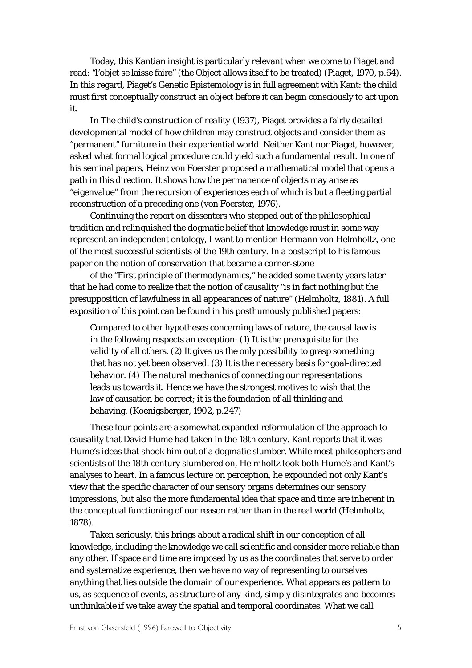Today, this Kantian insight is particularly relevant when we come to Piaget and read: "l'objet se laisse faire" (the Object allows itself to be treated) (Piaget, 1970, p.64). In this regard, Piaget's Genetic Epistemology is in full agreement with Kant: the child must first conceptually construct an object before it can begin consciously to act upon it.

In *The child's construction of reality* (1937), Piaget provides a fairly detailed developmental model of how children may construct objects and consider them as "permanent" furniture in their experiential world. Neither Kant nor Piaget, however, asked what formal logical procedure could yield such a fundamental result. In one of his seminal papers, Heinz von Foerster proposed a mathematical model that opens a path in this direction. It shows how the permanence of objects may arise as "eigenvalue" from the recursion of experiences each of which is but a fleeting partial reconstruction of a preceding one (von Foerster, 1976).

Continuing the report on dissenters who stepped out of the philosophical tradition and relinquished the dogmatic belief that knowledge must in some way represent an independent ontology, I want to mention Hermann von Helmholtz, one of the most successful scientists of the 19th century. In a postscript to his famous paper on the notion of conservation that became a corner-stone

of the "First principle of thermodynamics," he added some twenty years later that he had come to realize that the notion of causality "is in fact nothing but the presupposition of lawfulness in all appearances of nature" (Helmholtz, 1881). A full exposition of this point can be found in his posthumously published papers:

Compared to other hypotheses concerning laws of nature, the causal law is in the following respects an exception: (1) It is the prerequisite for the validity of all others. (2) It gives us the only possibility to grasp something that has not yet been observed. (3) It is the necessary basis for goal-directed behavior. (4) The natural mechanics of connecting our representations leads us towards it. Hence we have the strongest motives to wish that the law of causation be correct; it is the foundation of all thinking and behaving. (Koenigsberger, 1902, p.247)

These four points are a somewhat expanded reformulation of the approach to causality that David Hume had taken in the 18th century. Kant reports that it was Hume's ideas that shook him out of a dogmatic slumber. While most philosophers and scientists of the 18th century slumbered on, Helmholtz took both Hume's and Kant's analyses to heart. In a famous lecture on perception, he expounded not only Kant's view that the specific character of our sensory organs determines our sensory impressions, but also the more fundamental idea that space and time are inherent in the conceptual functioning of our reason rather than in the real world (Helmholtz, 1878).

Taken seriously, this brings about a radical shift in our conception of all knowledge, including the knowledge we call scientific and consider more reliable than any other. If space and time are imposed by us as the coordinates that serve to order and systematize experience, then we have no way of representing to ourselves anything that lies outside the domain of our experience. What appears as pattern to us, as sequence of events, as structure of any kind, simply disintegrates and becomes unthinkable if we take away the spatial and temporal coordinates. What we call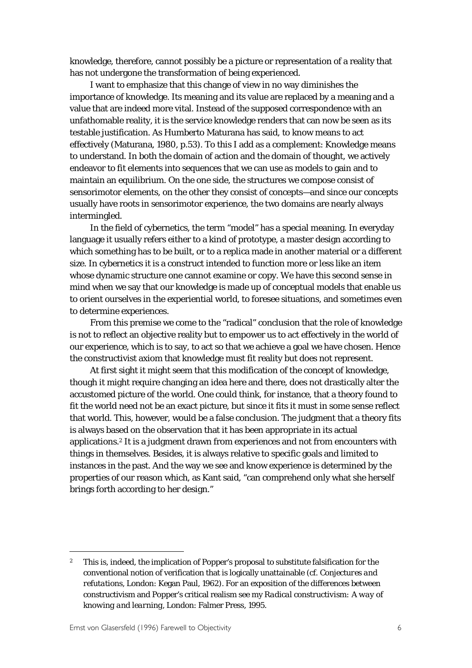knowledge, therefore, cannot possibly be a picture or representation of a reality that has not undergone the transformation of being experienced.

I want to emphasize that this change of view in no way diminishes the importance of knowledge. Its meaning and its value are replaced by a meaning and a value that are indeed more vital. Instead of the supposed correspondence with an unfathomable reality, it is the service knowledge renders that can now be seen as its testable justification. As Humberto Maturana has said, to know means to act effectively (Maturana, 1980, p.53). To this I add as a complement: Knowledge means to understand. In both the domain of action and the domain of thought, we actively endeavor to fit elements into sequences that we can use as models to gain and to maintain an equilibrium. On the one side, the structures we compose consist of sensorimotor elements, on the other they consist of concepts—and since our concepts usually have roots in sensorimotor experience, the two domains are nearly always intermingled.

In the field of cybernetics, the term "model" has a special meaning. In everyday language it usually refers either to a kind of prototype, a master design according to which something has to be built, or to a replica made in another material or a different size. In cybernetics it is a construct intended to function more or less like an item whose dynamic structure one cannot examine or copy. We have this second sense in mind when we say that our knowledge is made up of conceptual models that enable us to orient ourselves in the experiential world, to foresee situations, and sometimes even to determine experiences.

From this premise we come to the "radical" conclusion that the role of knowledge is not to reflect an objective reality but to empower us to act effectively in the world of our experience, which is to say, to act so that we achieve a goal we have chosen. Hence the constructivist axiom that knowledge must *fit* reality but does not represent.

At first sight it might seem that this modification of the concept of knowledge, though it might require changing an idea here and there, does not drastically alter the accustomed picture of the world. One could think, for instance, that a theory found to fit the world need not be an exact picture, but since it fits it must in some sense reflect that world. This, however, would be a false conclusion. The judgment that a theory fits is always based on the observation that it has been appropriate in its actual applications.2 It is a judgment drawn from experiences and not from encounters with things in themselves. Besides, it is always relative to specific goals and limited to instances in the past. And the way we see and know experience is determined by the properties of our reason which, as Kant said, "can comprehend only what she herself brings forth according to her design."

l

<sup>&</sup>lt;sup>2</sup> This is, indeed, the implication of Popper's proposal to substitute falsification for the conventional notion of verification that is logically unattainable (cf. *Conjectures and refutations*, London: Kegan Paul, 1962). For an exposition of the differences between constructivism and Popper's critical realism see my *Radical constructivism: A way of knowing and learning,* London: Falmer Press, 1995.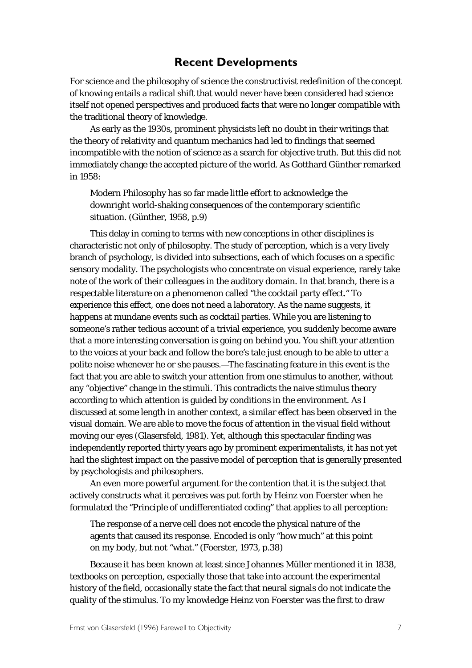#### **Recent Developments**

For science and the philosophy of science the constructivist redefinition of the concept of knowing entails a radical shift that would never have been considered had science itself not opened perspectives and produced facts that were no longer compatible with the traditional theory of knowledge.

As early as the 1930s, prominent physicists left no doubt in their writings that the theory of relativity and quantum mechanics had led to findings that seemed incompatible with the notion of science as a search for objective truth. But this did not immediately change the accepted picture of the world. As Gotthard Günther remarked in 1958:

Modern Philosophy has so far made little effort to acknowledge the downright world-shaking consequences of the contemporary scientific situation. (Günther, 1958, p.9)

This delay in coming to terms with new conceptions in other disciplines is characteristic not only of philosophy. The study of perception, which is a very lively branch of psychology, is divided into subsections, each of which focuses on a specific sensory modality. The psychologists who concentrate on visual experience, rarely take note of the work of their colleagues in the auditory domain. In that branch, there is a respectable literature on a phenomenon called "the cocktail party effect." To experience this effect, one does not need a laboratory. As the name suggests, it happens at mundane events such as cocktail parties. While you are listening to someone's rather tedious account of a trivial experience, you suddenly become aware that a more interesting conversation is going on behind you. You shift your attention to the voices at your back and follow the bore's tale just enough to be able to utter a polite noise whenever he or she pauses.—The fascinating feature in this event is the fact that you are able to switch your attention from one stimulus to another, without any "objective" change in the stimuli. This contradicts the naive stimulus theory according to which attention is guided by conditions in the environment. As I discussed at some length in another context, a similar effect has been observed in the visual domain. We are able to move the focus of attention in the visual field without moving our eyes (Glasersfeld, 1981). Yet, although this spectacular finding was independently reported thirty years ago by prominent experimentalists, it has not yet had the slightest impact on the passive model of perception that is generally presented by psychologists and philosophers.

An even more powerful argument for the contention that it is the subject that actively constructs what it perceives was put forth by Heinz von Foerster when he formulated the "Principle of undifferentiated coding" that applies to all perception:

The response of a nerve cell does *not* encode the physical nature of the agents that caused its response. Encoded is only "how much" at this point on my body, but not "what." (Foerster, 1973, p.38)

Because it has been known at least since Johannes Müller mentioned it in 1838, textbooks on perception, especially those that take into account the experimental history of the field, occasionally state the fact that neural signals do not indicate the quality of the stimulus. To my knowledge Heinz von Foerster was the first to draw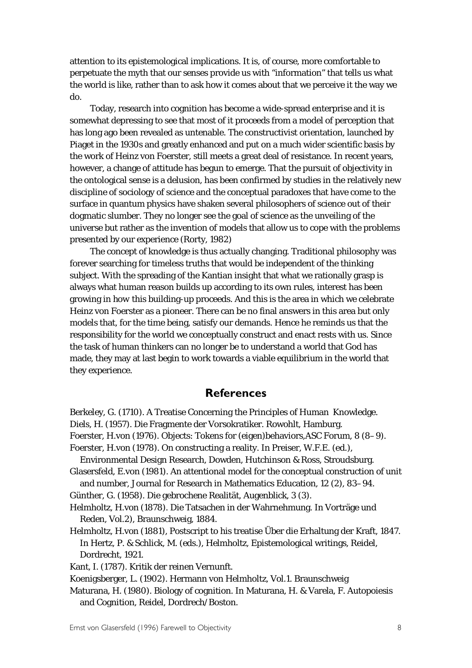attention to its epistemological implications. It is, of course, more comfortable to perpetuate the myth that our senses provide us with "information" that tells us what the world is like, rather than to ask how it comes about that we perceive it the way we do.

Today, research into cognition has become a wide-spread enterprise and it is somewhat depressing to see that most of it proceeds from a model of perception that has long ago been revealed as untenable. The constructivist orientation, launched by Piaget in the 1930s and greatly enhanced and put on a much wider scientific basis by the work of Heinz von Foerster, still meets a great deal of resistance. In recent years, however, a change of attitude has begun to emerge. That the pursuit of objectivity in the ontological sense is a delusion, has been confirmed by studies in the relatively new discipline of sociology of science and the conceptual paradoxes that have come to the surface in quantum physics have shaken several philosophers of science out of their dogmatic slumber. They no longer see the goal of science as the unveiling of the universe but rather as the invention of models that allow us to cope with the problems presented by our experience (Rorty, 1982)

The concept of knowledge is thus actually changing. Traditional philosophy was forever searching for timeless truths that would be independent of the thinking subject. With the spreading of the Kantian insight that what we rationally grasp is always what human reason builds up according to its own rules, interest has been growing in *how* this building-up proceeds. And this is the area in which we celebrate Heinz von Foerster as a pioneer. There can be no final answers in this area but only models that, for the time being, satisfy our demands. Hence he reminds us that the responsibility for the world we conceptually construct and enact rests with us. Since the task of human thinkers can no longer be to understand a world that God has made, they may at last begin to work towards a viable equilibrium in the world that they experience.

#### **References**

Berkeley, G. (1710). A Treatise Concerning the Principles of Human Knowledge. Diels, H. (1957). Die Fragmente der Vorsokratiker. Rowohlt, Hamburg. Foerster, H.von (1976). Objects: Tokens for (eigen)behaviors,ASC Forum, 8 (8–9).

Foerster, H.von (1978). On constructing a reality. In Preiser, W.F.E. (ed.),

Environmental Design Research, Dowden, Hutchinson & Ross, Stroudsburg. Glasersfeld, E.von (1981). An attentional model for the conceptual construction of unit

and number, Journal for Research in Mathematics Education, 12 (2), 83–94.

Günther, G. (1958). Die gebrochene Realität, Augenblick, 3 (3).

Helmholtz, H.von (1878). Die Tatsachen in der Wahrnehmung. In Vorträge und Reden, Vol.2), Braunschweig, 1884.

Helmholtz, H.von (1881), Postscript to his treatise Über die Erhaltung der Kraft, 1847. In Hertz, P. & Schlick, M. (eds.), Helmholtz, Epistemological writings, Reidel, Dordrecht, 1921.

Kant, I. (1787). Kritik der reinen Vernunft.

Koenigsberger, L. (1902). Hermann von Helmholtz, Vol.1. Braunschweig

Maturana, H. (1980). Biology of cognition. In Maturana, H. & Varela, F. Autopoiesis and Cognition, Reidel, Dordrech/Boston.